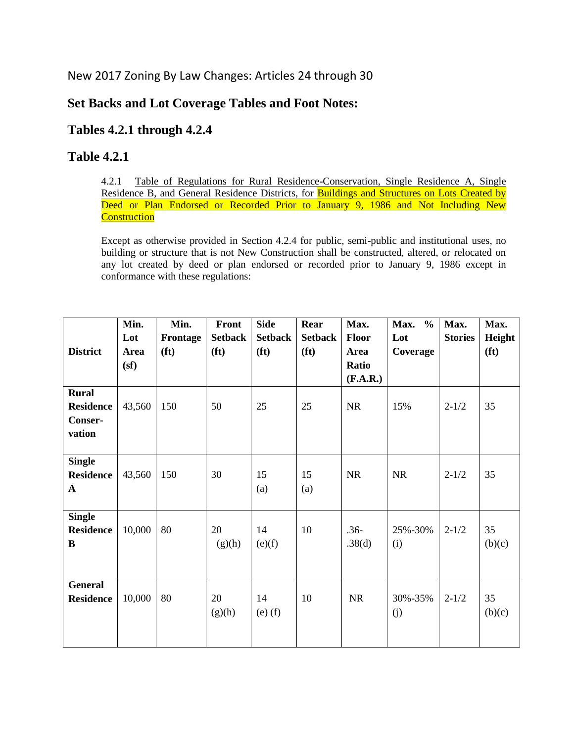## New 2017 Zoning By Law Changes: Articles 24 through 30

## **Set Backs and Lot Coverage Tables and Foot Notes:**

## **Tables 4.2.1 through 4.2.4**

## **Table 4.2.1**

4.2.1 Table of Regulations for Rural Residence-Conservation, Single Residence A, Single Residence B, and General Residence Districts, for **Buildings and Structures on Lots Created by** Deed or Plan Endorsed or Recorded Prior to January 9, 1986 and Not Including New **Construction** 

Except as otherwise provided in Section 4.2.4 for public, semi-public and institutional uses, no building or structure that is not New Construction shall be constructed, altered, or relocated on any lot created by deed or plan endorsed or recorded prior to January 9, 1986 except in conformance with these regulations:

| <b>District</b>                                       | Min.<br>Lot<br>Area<br>(sf) | Min.<br>Frontage<br>(f <sup>t</sup> ) | Front<br><b>Setback</b><br>(f <sub>t</sub> ) | <b>Side</b><br><b>Setback</b><br>(f <sub>t</sub> ) | Rear<br><b>Setback</b><br>(f <sub>t</sub> ) | Max.<br><b>Floor</b><br>Area<br>Ratio<br>(F.A.R.) | Max.<br>$\frac{0}{0}$<br>Lot<br>Coverage | Max.<br><b>Stories</b> | Max.<br>Height<br>(f <sub>t</sub> ) |
|-------------------------------------------------------|-----------------------------|---------------------------------------|----------------------------------------------|----------------------------------------------------|---------------------------------------------|---------------------------------------------------|------------------------------------------|------------------------|-------------------------------------|
| <b>Rural</b><br><b>Residence</b><br>Conser-<br>vation | 43,560                      | 150                                   | 50                                           | 25                                                 | 25                                          | <b>NR</b>                                         | 15%                                      | $2 - 1/2$              | 35                                  |
| <b>Single</b><br><b>Residence</b><br>$\mathbf{A}$     | 43,560                      | 150                                   | 30                                           | 15<br>(a)                                          | 15<br>(a)                                   | <b>NR</b>                                         | <b>NR</b>                                | $2 - 1/2$              | 35                                  |
| <b>Single</b><br><b>Residence</b><br>$\bf{B}$         | 10,000                      | 80                                    | 20<br>(g)(h)                                 | 14<br>(e)(f)                                       | 10                                          | $.36-$<br>.38(d)                                  | 25%-30%<br>(i)                           | $2 - 1/2$              | 35<br>(b)(c)                        |
| <b>General</b><br><b>Residence</b>                    | 10,000                      | 80                                    | 20<br>(g)(h)                                 | 14<br>$(e)$ $(f)$                                  | 10                                          | <b>NR</b>                                         | 30%-35%<br>(j)                           | $2 - 1/2$              | 35<br>(b)(c)                        |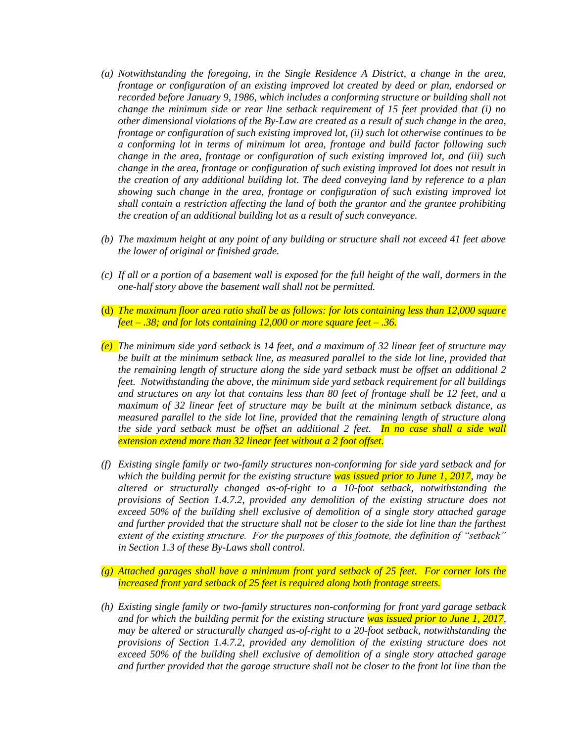- *(a) Notwithstanding the foregoing, in the Single Residence A District, a change in the area, frontage or configuration of an existing improved lot created by deed or plan, endorsed or recorded before January 9, 1986, which includes a conforming structure or building shall not change the minimum side or rear line setback requirement of 15 feet provided that (i) no other dimensional violations of the By-Law are created as a result of such change in the area, frontage or configuration of such existing improved lot, (ii) such lot otherwise continues to be a conforming lot in terms of minimum lot area, frontage and build factor following such change in the area, frontage or configuration of such existing improved lot, and (iii) such change in the area, frontage or configuration of such existing improved lot does not result in the creation of any additional building lot. The deed conveying land by reference to a plan showing such change in the area, frontage or configuration of such existing improved lot shall contain a restriction affecting the land of both the grantor and the grantee prohibiting the creation of an additional building lot as a result of such conveyance.*
- *(b) The maximum height at any point of any building or structure shall not exceed 41 feet above the lower of original or finished grade.*
- *(c) If all or a portion of a basement wall is exposed for the full height of the wall, dormers in the one-half story above the basement wall shall not be permitted.*
- (d) *The maximum floor area ratio shall be as follows: for lots containing less than 12,000 square feet – .38; and for lots containing 12,000 or more square feet – .36.*
- *(e) The minimum side yard setback is 14 feet, and a maximum of 32 linear feet of structure may be built at the minimum setback line, as measured parallel to the side lot line, provided that the remaining length of structure along the side yard setback must be offset an additional 2 feet. Notwithstanding the above, the minimum side yard setback requirement for all buildings and structures on any lot that contains less than 80 feet of frontage shall be 12 feet, and a maximum of 32 linear feet of structure may be built at the minimum setback distance, as measured parallel to the side lot line, provided that the remaining length of structure along the side yard setback must be offset an additional 2 feet. In no case shall a side wall extension extend more than 32 linear feet without a 2 foot offset.*
- *(f) Existing single family or two-family structures non-conforming for side yard setback and for which the building permit for the existing structure was issued prior to June 1, 2017, may be altered or structurally changed as-of-right to a 10-foot setback, notwithstanding the provisions of Section 1.4.7.2, provided any demolition of the existing structure does not exceed 50% of the building shell exclusive of demolition of a single story attached garage and further provided that the structure shall not be closer to the side lot line than the farthest extent of the existing structure. For the purposes of this footnote, the definition of "setback" in Section 1.3 of these By-Laws shall control.*
- *(g) Attached garages shall have a minimum front yard setback of 25 feet. For corner lots the increased front yard setback of 25 feet is required along both frontage streets.*
- *(h) Existing single family or two-family structures non-conforming for front yard garage setback and for which the building permit for the existing structure was issued prior to June 1, 2017, may be altered or structurally changed as-of-right to a 20-foot setback, notwithstanding the provisions of Section 1.4.7.2, provided any demolition of the existing structure does not exceed 50% of the building shell exclusive of demolition of a single story attached garage and further provided that the garage structure shall not be closer to the front lot line than the*